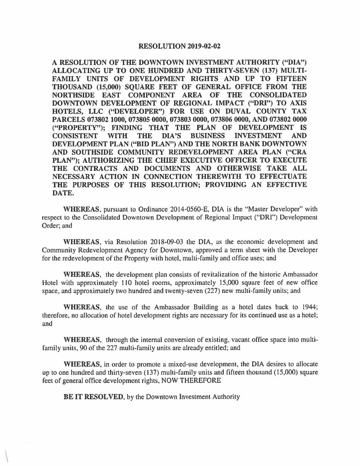## RESOLUTION 2019-02-02

A RESOLUTION OF THE DOWNTOWN INVESTMENT AUTHORITY ("DIA") ALLOCATING UP TO ONE HUNDRED AND THIRTY-SEVEN (137) MULTI-FAMILY UNITS OF DEVELOPMENT RIGHTS AND UP TO FIFTEEN THOUSAND (15,000) SQUARE FEET OF GENERAL OFFICE FROM THE NORTHSIDE EAST COMPONENT AREA OF THE CONSOLIDATED DOWNTOWN DEVELOPMENT OF REGIONAL IMPACT **("DRI")** TO AXIS **HOTELS, LLC ("DEVELOPER") FOR USE ON DUVAL COUNTY TAX PARCELS 073802 1000, 073805 0000, 073803 0000, 073806 0000, AND 073802 0000 ("PROPERTY"); FINDING THAT THE PLAN OF DEVELOPMENT IS CONSISTENT WITH THE DIA'S BUSINESS INVESTMENT AND DEVELOPMENT PLAN ("BID PLAN") AND THE NORTH BANK DOWNTOWN AND SOUTHSIDE COMMUNITY REDEVELOPMENT AREA PLAN ("CRA PLAN"); AUTHORIZING THE CHIEF EXECUTIVE OFFICER TO EXECUTE THE CONTRACTS AND DOCUMENTS AND OTHERWISE TAKE ALL NECESSARY ACTION IN CONNECTION THEREWITH TO EFFECTUATE THE PURPOSES OF THIS RESOLUTION; PROVIDING AN EFFECTIVE DATE.** 

**WHEREAS, pursuant to Ordinance 2014-0560-E, DIA is the "Master Developer" with** respect to the Consolidated Downtown Development of Regional Impact **("ORI'')** Development Order; and

**WHEREAS,** via Resolution 2018-09-03 the DIA, as the economic development and Community Redevelopment Agency for Downtown, approved a term sheet with the Developer for the redevelopment of the Property with hotel, multi-family and office uses; and

**WHEREAS,** the development plan consists of revitalization of the historic Ambassador Hotel with approximately 110 hotel rooms, approximately 15,000 square feet of new office space, and approximately two hundred and twenty-seven (227) new multi-family units; and

**WHEREAS,** the use of the Ambassador Building as a hotel dates back to 1944; therefore, no allocation of hotel development rights are necessary for its continued use as a hotel; and

**WHEREAS,** through the internal conversion of existing, vacant office space into multifamily units, 90 of the 227 multi-family units are already entitled; and

**WHEREAS,** in order to promote a mixed-use development, the DIA desires to allocate up to one hundred and thirty-seven ( 137) multi-family units and fifteen thousand (15,000) square feet of general office development rights, NOW THEREFORE

**BE IT RESOLVED,** by the Downtown Investment Authority

 $\mathcal{L}$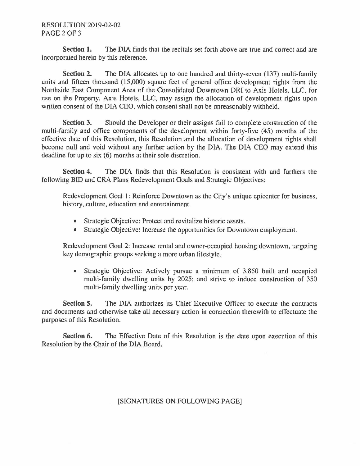## RESOLUTION 2019-02-02 PAGE 2 OF 3

**Section 1.** The DIA finds that the recitals set forth above are true and correct and are incorporated herein by this reference.

**Section 2.** The DIA allocates up to one hundred and thirty-seven (137) multi-family units and fifteen thousand (15,000) square feet of general office development rights from the Northside East Component Area of the Consolidated Downtown ORI to Axis Hotels, LLC, for use on the Property. Axis Hotels, LLC, may assign the allocation of development rights upon written consent of the DIA CEO, which consent shall not be unreasonably withheld.

**Section 3.** Should the Developer or their assigns fail to complete construction of the multi-family and office components of the development within forty-five (45) months of the effective date of this Resolution, this Resolution and the allocation of development rights shall become null and void without any further action by the DIA. The DIA CEO may extend this deadline for up to six (6) months at their sole discretion.

**Section 4.** The DIA finds that this Resolution is consistent with and furthers the following BID and CRA Plans Redevelopment Goals and Strategic Objectives:

Redevelopment Goal I: Reinforce Downtown as the City's unique epicenter for business, history, culture, education and entertainment.

- Strategic Objective: Protect and revitalize historic assets.
- Strategic Objective: Increase the opportunities for Downtown employment.

Redevelopment Goal 2: Increase rental and owner-occupied housing downtown, targeting key demographic groups seeking a more urban lifestyle.

• Strategic Objective: Actively pursue a minimum of 3,850 built and occupied multi-family dwelling units by 2025; and strive to induce construction of 350 multi-family dwelling units per year.

**Section 5.** The DIA authorizes its Chief Executive Officer to execute the contracts and documents and otherwise take all necessary action in connection therewith to effectuate the purposes of this Resolution.

**Section 6.** The Effective Date of this Resolution is the date upon execution of this Resolution by the Chair of the DIA Board.

## [SIGNATURES ON FOLLOWING PAGE]